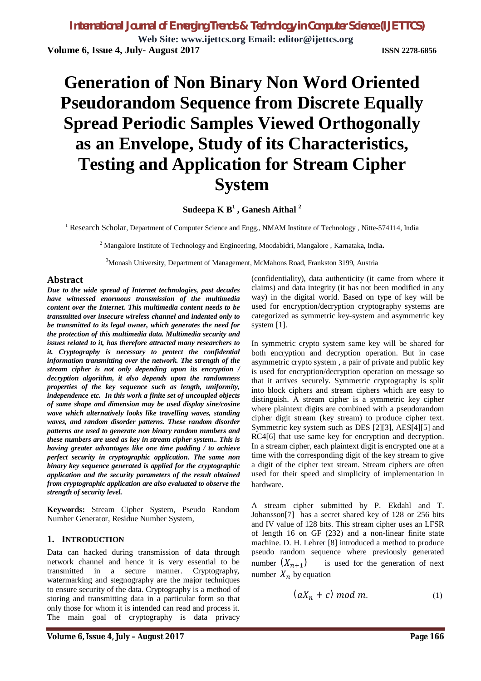**Web Site: www.ijettcs.org Email: editor@ijettcs.org Volume 6, Issue 4, July- August 2017 ISSN 2278-6856**

# **Generation of Non Binary Non Word Oriented Pseudorandom Sequence from Discrete Equally Spread Periodic Samples Viewed Orthogonally as an Envelope, Study of its Characteristics, Testing and Application for Stream Cipher System**

**Sudeepa K B<sup>1</sup> , Ganesh Aithal <sup>2</sup>**

<sup>1</sup> Research Scholar, Department of Computer Science and Engg., NMAM Institute of Technology, Nitte-574114, India

<sup>2</sup> Mangalore Institute of Technology and Engineering, Moodabidri, Mangalore , Karnataka, India**.**

<sup>3</sup>Monash University, Department of Management, McMahons Road, Frankston 3199, Austria

#### **Abstract**

*Due to the wide spread of Internet technologies, past decades have witnessed enormous transmission of the multimedia content over the Internet. This multimedia content needs to be transmitted over insecure wireless channel and indented only to be transmitted to its legal owner, which generates the need for the protection of this multimedia data. Multimedia security and issues related to it, has therefore attracted many researchers to it. Cryptography is necessary to protect the confidential information transmitting over the network. The strength of the stream cipher is not only depending upon its encryption / decryption algorithm, it also depends upon the randomness properties of the key sequence such as length, uniformity, independence etc. In this work a finite set of uncoupled objects of same shape and dimension may be used display sine/cosine wave which alternatively looks like travelling waves, standing waves, and random disorder patterns. These random disorder patterns are used to generate non binary random numbers and these numbers are used as key in stream cipher system.. This is having greater advantages like one time padding / to achieve perfect security in cryptographic application. The same non binary key sequence generated is applied for the cryptographic application and the security parameters of the result obtained from cryptographic application are also evaluated to observe the strength of security level.*

**Keywords:** Stream Cipher System, Pseudo Random Number Generator, Residue Number System,

#### **1. INTRODUCTION**

Data can hacked during transmission of data through network channel and hence it is very essential to be transmitted in a secure manner. Cryptography, watermarking and stegnography are the major techniques to ensure security of the data. Cryptography is a method of storing and transmitting data in a particular form so that only those for whom it is intended can read and process it. The main goal of cryptography is data privacy

(confidentiality), data authenticity (it came from where it claims) and data integrity (it has not been modified in any way) in the digital world. Based on type of key will be used for encryption/decryption cryptography systems are categorized as symmetric key-system and asymmetric key system [1].

In symmetric crypto system same key will be shared for both encryption and decryption operation. But in case asymmetric crypto system , a pair of private and public key is used for encryption/decryption operation on message so that it arrives securely. Symmetric cryptography is split into block ciphers and stream ciphers which are easy to distinguish. A stream cipher is a symmetric key cipher where plaintext digits are combined with a pseudorandom cipher digit stream (key stream) to produce cipher text. Symmetric key system such as DES [2][3], AES[4][5] and RC4[6] that use same key for encryption and decryption. In a stream cipher, each plaintext digit is encrypted one at a time with the corresponding digit of the key stream to give a digit of the cipher text stream. Stream ciphers are often used for their speed and simplicity of implementation in hardware.

A stream cipher submitted by P. Ekdahl and T. Johansson[7] has a secret shared key of 128 or 256 bits and IV value of 128 bits. This stream cipher uses an LFSR of length 16 on GF (232) and a non-linear finite state machine. D. H. Lehrer [8] introduced a method to produce pseudo random sequence where previously generated number  $(X_{n+1})$ ) is used for the generation of next number  $X_n$  by equation

$$
(aX_n + c) \bmod m. \tag{1}
$$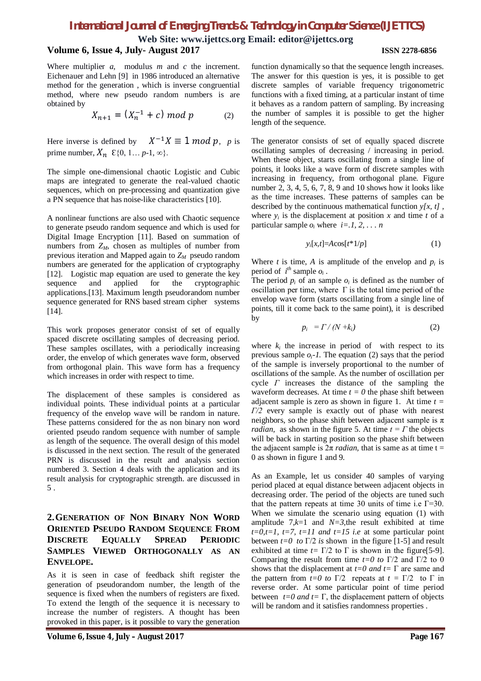**Web Site: www.ijettcs.org Email: editor@ijettcs.org**

#### **Volume 6, Issue 4, July- August 2017 ISSN 2278-6856**

Where multiplier *a,* modulus *m* and *c* the increment. Eichenauer and Lehn [9] in 1986 introduced an alternative method for the generation , which is inverse congruential method, where new pseudo random numbers is are obtained by

$$
X_{n+1} = (X_n^{-1} + c) \bmod p \tag{2}
$$

Here inverse is defined by  $X^{-1}X \equiv 1 \mod p$ , *p* is prime number,  $X_n \in \{0, 1... p-1, \infty\}.$ 

The simple one-dimensional chaotic Logistic and Cubic maps are integrated to generate the real-valued chaotic sequences, which on pre-processing and quantization give a PN sequence that has noise-like characteristics [10].

A nonlinear functions are also used with Chaotic sequence to generate pseudo random sequence and which is used for Digital Image Encryption [11]. Based on summation of numbers from  $Z_M$ , chosen as multiples of number from previous iteration and Mapped again to *ZM* pseudo random numbers are generated for the application of cryptography [12]. Logistic map equation are used to generate the key sequence and applied for the cryptographic applications.[13]. Maximum length pseudorandom number sequence generated for RNS based stream cipher systems [14].

This work proposes generator consist of set of equally spaced discrete oscillating samples of decreasing period. These samples oscillates, with a periodically increasing order, the envelop of which generates wave form, observed from orthogonal plain. This wave form has a frequency which increases in order with respect to time.

The displacement of these samples is considered as individual points. These individual points at a particular frequency of the envelop wave will be random in nature. These patterns considered for the as non binary non word oriented pseudo random sequence with number of sample as length of the sequence. The overall design of this model is discussed in the next section. The result of the generated PRN is discussed in the result and analysis section numbered 3. Section 4 deals with the application and its result analysis for cryptographic strength. are discussed in 5 .

### **2.GENERATION OF NON BINARY NON WORD ORIENTED PSEUDO RANDOM SEQUENCE FROM DISCRETE EQUALLY SPREAD PERIODIC SAMPLES VIEWED ORTHOGONALLY AS AN ENVELOPE.**

As it is seen in case of feedback shift register the generation of pseudorandom number, the length of the sequence is fixed when the numbers of registers are fixed. To extend the length of the sequence it is necessary to increase the number of registers. A thought has been provoked in this paper, is it possible to vary the generation

function dynamically so that the sequence length increases. The answer for this question is yes, it is possible to get discrete samples of variable frequency trigonometric functions with a fixed timing, at a particular instant of time it behaves as a random pattern of sampling. By increasing the number of samples it is possible to get the higher length of the sequence.

The generator consists of set of equally spaced discrete oscillating samples of decreasing / increasing in period. When these object, starts oscillating from a single line of points, it looks like a wave form of discrete samples with increasing in frequency, from orthogonal plane. Figure number 2, 3, 4, 5, 6, 7, 8, 9 and 10 shows how it looks like as the time increases. These patterns of samples can be described by the continuous mathematical function *y[x, t] ,* where  $y_i$  is the displacement at position  $x$  and time  $t$  of a particular sample  $o_i$  where  $i = 1, 2, \ldots n$ 

$$
y_i[x,t] = A\cos[t^*1/p] \tag{1}
$$

Where *t* is time, *A* is amplitude of the envelop and  $p_i$  is period of  $i^{th}$  sample  $o_i$ .

The period  $p_i$  of an sample  $o_i$  is defined as the number of oscillation per time, where  $\Gamma$  is the total time period of the envelop wave form (starts oscillating from a single line of points, till it come back to the same point), it is described by

$$
p_i = \Gamma / (N + k_i) \tag{2}
$$

where  $k_i$  the increase in period of with respect to its previous sample  $o_i$ -1. The equation (2) says that the period of the sample is inversely proportional to the number of oscillations of the sample. As the number of oscillation per cycle *Γ* increases the distance of the sampling the waveform decreases. At time  $t = 0$  the phase shift between adjacent sample is zero as shown in figure 1. At time *t = Γ/2* every sample is exactly out of phase with nearest neighbors, so the phase shift between adjacent sample is  $\pi$ *radian,* as shown in the figure 5. At time  $t = \Gamma$  the objects will be back in starting position so the phase shift between the adjacent sample is  $2\pi$  *radian*, that is same as at time t = 0 as shown in figure 1 and 9.

As an Example, let us consider 40 samples of varying period placed at equal distance between adjacent objects in decreasing order. The period of the objects are tuned such that the pattern repeats at time 30 units of time i.e  $\Gamma$ =30. When we simulate the scenario using equation (1) with amplitude  $7,k=1$  and  $N=3$ , the result exhibited at time  $t=0, t=1, t=7, t=11$  and  $t=15$  *i.e* at some particular point between *t=0 to* Γ/2 *is* shown in the figure [1-5] and result exhibited at time  $t = \Gamma/2$  to  $\Gamma$  is shown in the figure [5-9]. Comparing the result from time  $t=0$  to  $\Gamma/2$  and  $\Gamma/2$  to 0 shows that the displacement at *t=0 and t=* Γ are same and the pattern from  $t=0$  to  $\Gamma/2$  repeats at  $t = \Gamma/2$  to  $\Gamma$  in reverse order. At some particular point of time period between  $t=0$  *and*  $t=\Gamma$ , the displacement pattern of objects will be random and it satisfies randomness properties .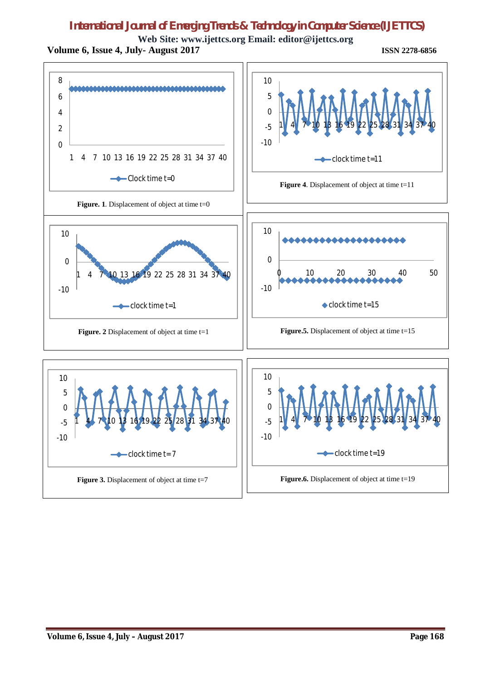**Web Site: www.ijettcs.org Email: editor@ijettcs.org Volume 6, Issue 4, July- August 2017 ISSN 2278-6856**

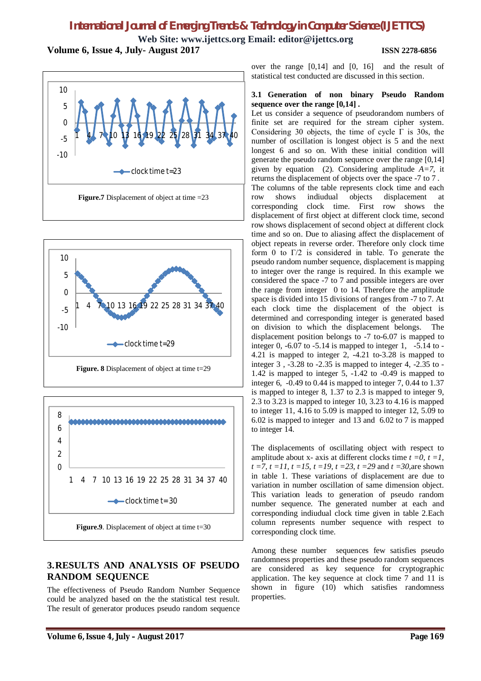**Web Site: www.ijettcs.org Email: editor@ijettcs.org Volume 6, Issue 4, July- August 2017 ISSN 2278-6856**







# **3.RESULTS AND ANALYSIS OF PSEUDO RANDOM SEQUENCE**

The effectiveness of Pseudo Random Number Sequence could be analyzed based on the the statistical test result. The result of generator produces pseudo random sequence over the range [0,14] and [0, 16] and the result of statistical test conducted are discussed in this section.

#### **3.1 Generation of non binary Pseudo Random sequence over the range [0,14] .**

Let us consider a sequence of pseudorandom numbers of finite set are required for the stream cipher system. Considering 30 objects, the time of cycle  $\Gamma$  is 30s, the number of oscillation is longest object is 5 and the next longest 6 and so on. With these initial condition will generate the pseudo random sequence over the range [0,14] given by equation (2). Considering amplitude *A=7,* it returns the displacement of objects over the space -7 to 7 . The columns of the table represents clock time and each row shows indiudual objects displacement at corresponding clock time. First row shows the displacement of first object at different clock time, second row shows displacement of second object at different clock time and so on. Due to aliasing affect the displacement of object repeats in reverse order. Therefore only clock time form 0 to  $\Gamma/2$  is considered in table. To generate the pseudo random number sequence, displacement is mapping to integer over the range is required. In this example we considered the space -7 to 7 and possible integers are over the range from integer 0 to 14. Therefore the amplitude space is divided into 15 divisions of ranges from -7 to 7. At each clock time the displacement of the object is determined and corresponding integer is generated based on division to which the displacement belongs. The displacement position belongs to -7 to-6.07 is mapped to integer 0, -6.07 to -5.14 is mapped to integer 1, -5.14 to - 4.21 is mapped to integer 2, -4.21 to-3.28 is mapped to integer 3 , -3.28 to -2.35 is mapped to integer 4, -2.35 to - 1.42 is mapped to integer 5, -1.42 to -0.49 is mapped to integer 6, -0.49 to 0.44 is mapped to integer 7, 0.44 to 1.37 is mapped to integer 8, 1.37 to 2.3 is mapped to integer 9, 2.3 to 3.23 is mapped to integer 10, 3.23 to 4.16 is mapped to integer 11, 4.16 to 5.09 is mapped to integer 12, 5.09 to 6.02 is mapped to integer and 13 and 6.02 to 7 is mapped to integer 14.

The displacements of oscillating object with respect to amplitude about x- axis at different clocks time  $t = 0$ ,  $t = 1$ , *t =7, t =11, t =15, t =19, t =23, t =29* and *t =30,*are shown in table 1. These variations of displacement are due to variation in number oscillation of same dimension object. This variation leads to generation of pseudo random number sequence. The generated number at each and corresponding indiudual clock time given in table 2.Each column represents number sequence with respect to corresponding clock time.

Among these number sequences few satisfies pseudo randomness properties and these pseudo random sequences are considered as key sequence for cryptographic application. The key sequence at clock time 7 and 11 is shown in figure (10) which satisfies randomness properties.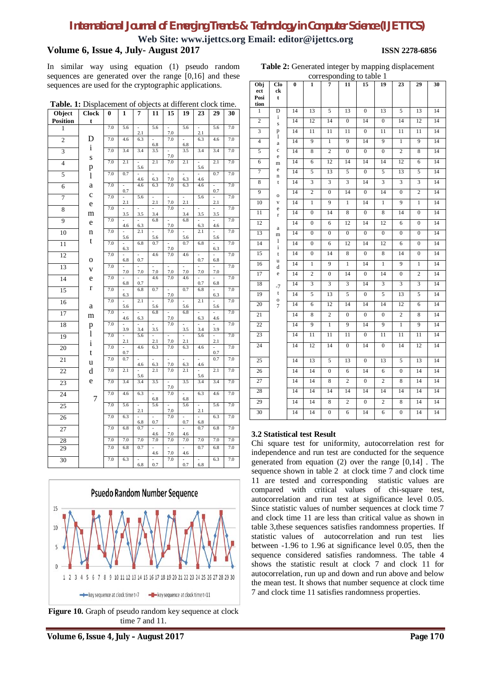**Web Site: www.ijettcs.org Email: editor@ijettcs.org**

#### **Volume 6, Issue 4, July- August 2017 ISSN 2278-6856**

In similar way using equation (1) pseudo random sequences are generated over the range [0,16] and these sequences are used for the cryptographic applications.

**Table 2:** Generated integer by mapping displacement

| Table. 1: Displacement of objects at different clock time. |              |     |            |                |                       |                |                                 |                |                       |     |
|------------------------------------------------------------|--------------|-----|------------|----------------|-----------------------|----------------|---------------------------------|----------------|-----------------------|-----|
| Object                                                     | <b>Clock</b> | 0   | 1          | 7              | 11                    | 15             | 19                              | 23             | 29                    | 30  |
| <b>Position</b>                                            | t            |     |            |                |                       |                |                                 |                |                       |     |
| 1                                                          |              | 7.0 | 5.6        | 2.1            | 5.6                   | 7.0            | 5.6                             | 2.1            | 5.6                   | 7.0 |
| $\overline{2}$                                             | D            | 7.0 | 4.6        | 6.3            | 6.8                   | 7.0            | 6.8                             | 6.3            | 4.6                   | 7.0 |
| $\overline{\mathbf{3}}$                                    | $\mathbf{i}$ | 7.0 | 3.4        | 3.4            | 3.5                   | $\overline{a}$ | 3.5                             | 3.4            | 3.4                   | 7.0 |
| $\overline{4}$                                             | S            | 7.0 | 2.1        | 5.6            | 2.1                   | 7.0<br>7.0     | 2.1                             | 5.6            | 2.1                   | 7.0 |
| 5                                                          | p<br>1       | 7.0 | 0.7        |                |                       |                |                                 |                | 0.7                   | 7.0 |
| 6                                                          | a            | 7.0 |            | 4.6<br>4.6     | 6.3<br>6.3            | 7.0<br>7.0     | 6.3<br>6.3                      | 4.6<br>4.6     |                       | 7.0 |
| 7                                                          | $\mathbf c$  | 7.0 | 0.7        | 5.6            | L,                    | $\overline{a}$ | $\overline{a}$                  | 5.6            | 0.7<br>$\overline{a}$ | 7.0 |
|                                                            | e            | 7.0 | 2.1        |                | 2.1                   | 7.0<br>7.0     | 2.1                             |                | 2.1                   | 7.0 |
| 8                                                          | m            |     | 3.5        | 3.5            | 3.4                   |                | 3.4                             | 3.5            | 3.5                   |     |
| 9                                                          | e            | 7.0 | 4.6        | 6.3            | 6.8                   | 7.0            | 6.8                             | 6.3            | 4.6                   | 7.0 |
| 10                                                         | n            | 7.0 | 5.6        | 2.1            | $\overline{a}$<br>5.6 | 7.0            | $\overline{a}$<br>5.6           | 2.1            | 5.6                   | 7.0 |
| $\overline{11}$                                            | t            | 7.0 | 6.3        | 6.8            | 0.7                   | 7.0            | 0.7                             | 6.8            | 6.3                   | 7.0 |
| 12                                                         | 0            | 7.0 | 6.8        | 0.7            | 4.6                   | 7.0            | 4.6                             | 0.7            | 6.8                   | 7.0 |
| 13                                                         | V            | 7.0 | 7.0        | 7.0            | 7.0                   | 7.0            | $\overline{\phantom{a}}$<br>7.0 | 7.0            | 7.0                   | 7.0 |
| $\overline{14}$                                            | e            | 7.0 | 6.8        | 0.7            | 4.6                   | 7.0            | 4.6                             | 0.7            | 6.8                   | 7.0 |
| 15                                                         | r            | 7.0 | 6.3        | 6.8            | 0.7                   | 7.0            | 0.7                             | 6.8            | 6.3                   | 7.0 |
| 16                                                         | а            | 7.0 | 5.6        | 2.1            | 5.6                   | 7.0            | 5.6                             | 2.1            | 5.6                   | 7.0 |
| 17                                                         | m            | 7.0 |            |                | 6.8                   |                | 6.8                             |                |                       | 7.0 |
| 18                                                         | p            | 7.0 | 4.6        | 6.3            |                       | 7.0<br>7.0     |                                 | 6.3            | 4.6                   | 7.0 |
| 19                                                         | $\mathbf{l}$ | 7.0 | 3.9        | 3.4<br>5.6     | 3.5                   | L.             | 3.5                             | 3.4<br>5.6     | 3.9<br>$\overline{a}$ | 7.0 |
| 20                                                         | i            | 7.0 | 2.1        | 4.6            | 2.1<br>6.3            | 7.0<br>7.0     | 2.1<br>6.3                      | 4.6            | 2.1                   | 7.0 |
| 21                                                         | t<br>u       | 7.0 | 0.7<br>0.7 |                |                       |                |                                 |                | 0.7<br>0.7            | 7.0 |
| 22                                                         | d            | 7.0 | 2.1        | 4.6            | 6.3<br>2.1            | 7.0<br>7.0     | 6.3<br>2.1                      | 4.6            | 2.1                   | 7.0 |
| 23                                                         | e            | 7.0 | 3.4        | 5.6<br>3.4     | 3.5                   |                | 3.5                             | 5.6<br>3.4     | 3.4                   | 7.0 |
| 24                                                         |              | 7.0 | 4.6        | 6.3            |                       | 7.0<br>7.0     |                                 | 6.3            | 4.6                   | 7.0 |
| 25                                                         | 7            | 7.0 | 5.6        | $\overline{a}$ | 6.8<br>5.6            | $\overline{a}$ | 6.8<br>5.6                      | $\overline{a}$ | 5.6                   | 7.0 |
| 26                                                         |              | 7.0 | 6.3        | 2.1            | $\overline{a}$        | 7.0<br>7.0     | $\overline{a}$                  | 2.1            | 6.3                   | 7.0 |
|                                                            |              | 7.0 | 6.8        | 6.8<br>0.7     | 0.7                   |                | 0.7                             | 6.8<br>0.7     | 6.8                   | 7.0 |
| 27                                                         |              |     |            |                | 4.6                   | 7.0            | 4.6                             |                |                       |     |
| 28                                                         |              | 7.0 | 7.0        | 7.0            | 7.0                   | 7.0            | 7.0                             | 7.0            | 7.0                   | 7.0 |
| 29                                                         |              | 7.0 | 6.8        | 0.7            | 4.6                   | 7.0            | 4.6                             | 0.7            | 6.8                   | 7.0 |
| 30                                                         |              | 7.0 | 6.3        | 6.8            | 0.7                   | 7.0            | 0.7                             | 6.8            | 6.3                   | 7.0 |



**Figure 10.** Graph of pseudo random key sequence at clock time 7 and 11.

|                     | corresponding to table 1 |          |                  |                  |                         |                  |                  |                  |                         |    |  |
|---------------------|--------------------------|----------|------------------|------------------|-------------------------|------------------|------------------|------------------|-------------------------|----|--|
| $\overline{Obj}$    | Clo                      | $\bf{0}$ | 1                | 7                | 11                      | 15               | 19               | 23               | 29                      | 30 |  |
| ect<br>Posi<br>tion | ck<br>t                  |          |                  |                  |                         |                  |                  |                  |                         |    |  |
| 1                   | D                        | 14       | 13               | 5                | 13                      | $\boldsymbol{0}$ | 13               | 5                | 13                      | 14 |  |
| $\overline{2}$      | i<br>$\rm s$             | 14       | 12               | 14               | $\boldsymbol{0}$        | 14               | $\boldsymbol{0}$ | 14               | 12                      | 14 |  |
| $\overline{3}$      | p                        | 14       | 11               | 11               | 11                      | $\overline{0}$   | 11               | 11               | 11                      | 14 |  |
| 4                   | 1<br>a                   | 14       | 9                | $\mathbf{1}$     | $\overline{9}$          | 14               | 9                | $\mathbf{1}$     | 9                       | 14 |  |
| 5                   | $\mathbf c$<br>e         | 14       | 8                | $\overline{c}$   | $\boldsymbol{0}$        | $\boldsymbol{0}$ | $\boldsymbol{0}$ | $\mathbf{2}$     | 8                       | 14 |  |
| $\overline{6}$      | m                        | 14       | 6                | 12               | 14                      | 14               | 14               | 12               | 6                       | 14 |  |
| 7                   | e<br>n                   | 14       | 5                | 13               | 5                       | $\boldsymbol{0}$ | 5                | 13               | 5                       | 14 |  |
| 8                   | t                        | 14       | 3                | 3                | $\overline{\mathbf{3}}$ | 14               | 3                | 3                | 3                       | 14 |  |
| 9                   | $\mathbf 0$              | 14       | 2                | $\boldsymbol{0}$ | 14                      | $\boldsymbol{0}$ | 14               | $\boldsymbol{0}$ | $\overline{\mathbf{c}}$ | 14 |  |
| 10                  | V<br>e                   | 14       | $\mathbf{1}$     | 9                | 1                       | 14               | 1                | 9                | $\mathbf{1}$            | 14 |  |
| 11                  | r                        | 14       | $\boldsymbol{0}$ | 14               | 8                       | $\boldsymbol{0}$ | 8                | 14               | $\mathbf{0}$            | 14 |  |
| 12                  | a                        | 14       | $\boldsymbol{0}$ | 6                | 12                      | 14               | 12               | 6                | $\mathbf{0}$            | 14 |  |
| 13                  | m                        | 14       | $\boldsymbol{0}$ | $\overline{0}$   | $\overline{0}$          | $\overline{0}$   | $\overline{0}$   | $\overline{0}$   | $\overline{0}$          | 14 |  |
| 14                  | 1<br>i                   | 14       | $\mathbf{0}$     | 6                | 12                      | 14               | 12               | 6                | $\mathbf{0}$            | 14 |  |
| 15                  | t                        | 14       | $\mathbf{0}$     | 14               | 8                       | $\overline{0}$   | 8                | 14               | $\mathbf{0}$            | 14 |  |
| 16                  | u<br>d                   | 14       | $\overline{1}$   | 9                | $\overline{1}$          | 14               | $\overline{1}$   | 9                | $\overline{1}$          | 14 |  |
| 17                  | e                        | 14       | 2                | $\boldsymbol{0}$ | 14                      | $\boldsymbol{0}$ | 14               | $\boldsymbol{0}$ | $\overline{c}$          | 14 |  |
| 18                  | $-7$                     | 14       | 3                | 3                | $\overline{3}$          | 14               | 3                | 3                | 3                       | 14 |  |
| 19                  | t<br>0                   | 14       | 5                | 13               | 5                       | 0                | 5                | 13               | 5                       | 14 |  |
| 20                  | 7                        | 14       | 6                | 12               | 14                      | $\overline{14}$  | 14               | 12               | $\overline{6}$          | 14 |  |
| $\overline{21}$     |                          | 14       | $\overline{8}$   | $\overline{c}$   | $\overline{0}$          | $\overline{0}$   | $\overline{0}$   | $\overline{c}$   | 8                       | 14 |  |
| $\overline{22}$     |                          | 14       | 9                | $\mathbf{1}$     | 9                       | 14               | $\overline{9}$   | $\mathbf{1}$     | $\overline{9}$          | 14 |  |
| 23                  |                          | 14       | 11               | 11               | 11                      | $\overline{0}$   | $\overline{11}$  | 11               | 11                      | 14 |  |
| $\overline{24}$     |                          | 14       | 12               | 14               | $\overline{0}$          | 14               | $\boldsymbol{0}$ | 14               | $\overline{12}$         | 14 |  |
| 25                  |                          | 14       | 13               | 5                | 13                      | $\boldsymbol{0}$ | 13               | 5                | 13                      | 14 |  |
| 26                  |                          | 14       | 14               | $\overline{0}$   | 6                       | 14               | 6                | $\boldsymbol{0}$ | 14                      | 14 |  |
| $\overline{27}$     |                          | 14       | 14               | 8                | $\overline{c}$          | $\boldsymbol{0}$ | 2                | 8                | 14                      | 14 |  |
| 28                  |                          | 14       | 14               | 14               | 14                      | 14               | 14               | 14               | 14                      | 14 |  |
| 29                  |                          | 14       | 14               | 8                | $\overline{2}$          | $\boldsymbol{0}$ | $\overline{2}$   | 8                | 14                      | 14 |  |
| 30                  |                          | 14       | 14               | $\overline{0}$   | 6                       | 14               | 6                | $\boldsymbol{0}$ | $\overline{14}$         | 14 |  |

#### **3.2 Statistical test Result**

Chi square test for uniformity, autocorrelation rest for independence and run test are conducted for the sequence generated from equation  $(2)$  over the range  $[0,14]$ . The sequence shown in table 2 at clock time 7 and clock time 11 are tested and corresponding statistic values are compared with critical values of chi-square test, autocorrelation and run test at significance level 0.05. Since statistic values of number sequences at clock time 7 and clock time 11 are less than critical value as shown in table 3,these sequences satisfies randomness properties. If statistic values of autocorrelation and run test lies between -1.96 to 1.96 at significance level 0.05, then the sequence considered satisfies randomness. The table 4 shows the statistic result at clock 7 and clock 11 for autocorrelation, run up and down and run above and below the mean test. It shows that number sequence at clock time 7 and clock time 11 satisfies randomness properties.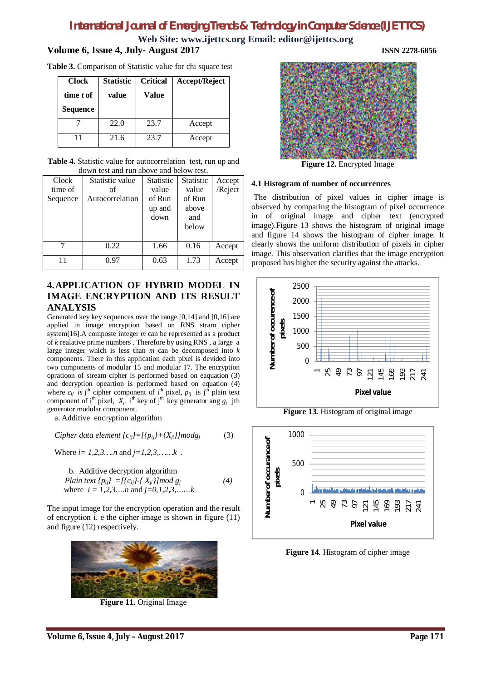**Web Site: www.ijettcs.org Email: editor@ijettcs.org**

### **Volume 6, Issue 4, July- August 2017 ISSN 2278-6856**

**Table 3.** Comparison of Statistic value for chi square test

| <b>Clock</b><br>time t of<br><b>Sequence</b> | <b>Statistic</b><br>value | <b>Critical</b><br>Value | Accept/Reject |  |  |
|----------------------------------------------|---------------------------|--------------------------|---------------|--|--|
|                                              | 22.0                      | 23.7                     | Accept        |  |  |
|                                              | 21.6                      | 23.7                     | Accept        |  |  |

**Table 4.** Statistic value for autocorrelation test, run up and down test and run above and below test.

| <b>Clock</b> | Statistic value | <b>Statistic</b> | <b>Statistic</b> | Accept  |
|--------------|-----------------|------------------|------------------|---------|
| time of      | of              | value            | value            | /Reject |
| Sequence     | Autocorrelation | of Run           | of Run           |         |
|              |                 | up and           | above            |         |
|              |                 | down             | and              |         |
|              |                 |                  | below            |         |
|              |                 |                  |                  |         |
|              | 0.22            | 1.66             | 0.16             | Accept  |
| 11           | 0.97            | 0.63             | 1.73             | Accept  |

# **4.APPLICATION OF HYBRID MODEL IN IMAGE ENCRYPTION AND ITS RESULT ANALYSIS**

Generated key key sequences over the range [0,14] and [0,16] are applied in image encryption based on RNS stram cipher system[16].A composte integer *m* can be represented as a product of *k* realative prime numbers . Therefore by using RNS , a large a large integer which is less than *m* can be decomposed into *k* components. There in this application each pixel is devided into two components of modular 15 and modular 17. The encryption opratioon of stream cipher is performed based on eaquation (3) and decryption opeartion is performed based on equation (4) where  $c_{ij}$  is j<sup>th</sup> cipher component of i<sup>th</sup> pixel,  $p_{ij}$  is j<sup>th</sup> plain text component of i<sup>th</sup> pixel,  $X_{ji}$  i<sup>th</sup> key of j<sup>th</sup> key generator ang  $g_j$  jth generotor modular component.

a. Additive encryption algorithm

*Cipher data element*  ${c_{ij}}$ =[ ${p_{ij}}$ +{ $X_{ij}$ }]modg<sub>*i*</sub> (3)

Where *i= 1,2,3….n* and *j=1,2,3,……k* .

b. Additive decryption algorithm  
Plain text {
$$
p_{ij}
$$
} =[{ $c_{ij}$ }.{ $X_{ji}$ }]mod g<sub>j</sub> (4)  
where  $i = 1,2,3...$  and  $j=0,1,2,3,......k$ 

The input image for the encryption operation and the result of encryption i. e the cipher image is shown in figure (11) and figure (12) respectively.



**Figure 11.** Original Image



**Figure 12.** Encrypted Image

#### **4.1 Histogram of number of occurrences**

The distribution of pixel values in cipher image is observed by comparing the histogram of pixel occurrence in of original image and cipher text (encrypted image).Figure 13 shows the histogram of original image and figure 14 shows the histogram of cipher image. It clearly shows the uniform distribution of pixels in cipher image. This observation clarifies that the image encryption proposed has higher the security against the attacks.



**Figure 13.** Histogram of original image



**Figure 14**. Histogram of cipher image